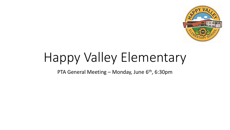

# Happy Valley Elementary

PTA General Meeting – Monday, June  $6<sup>th</sup>$ , 6:30pm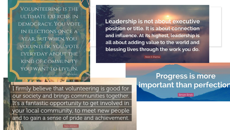VOLUNTEERING IS THE ULTIMATE EXERCISE IN DEMOCRACY. YOU VOTE IN ELECTIONS ONCE A YEAR, BUT WHEN YOU VOLUNTEER, YOU VOTE **EVERYDAY ABOUT THE KIND OF COMMUNITY** YOU WANT TO LIVE IN.

Leadership is not about executive position or title. It is about connection and influence. At its highest, leadership is all about adding value to the world and blessing lives through the work you do.

Robin S. Sharma

I firmly believe that volunteering is good for our society and brings communities together. It's a fantastic opportunity to get involved in your local community, to meet new people and to gain a sense of pride and achievement.

### **Progress is more** important than perfection

**Simon Sinel**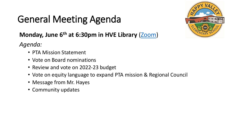## General Meeting Agenda



### **Monday, June 6th at 6:30pm in HVE Library** ([Zoom\)](https://energyexemplar.zoom.us/j/97240333264?pwd=QjVvMC9JK2N5ZFZMbXhacm93aHdEdz09&from=addon)

*Agenda:* 

- PTA Mission Statement
- Vote on Board nominations
- Review and vote on 2022-23 budget
- Vote on equity language to expand PTA mission & Regional Council
- Message from Mr. Hayes
- Community updates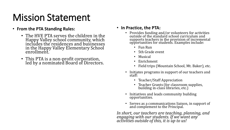### Mission Statement

#### • **From the PTA Standing Rules:**

- The HVE PTA serves the children in the Happy Valley school community, which includes the residences and businesses in the Happy Valley Elementary School enrollment.
- This PTA is a non-profit corporation, led by a nominated Board of Directors.

#### • **In Practice, the PTA:**

- Provides funding and/or volunteers for activities outside of the standard school curriculum and supports teachers in the provision of incremental opportunities for students. Examples include:
	- Fun Run
	- 5th Grade event
	- Musical
	- Enrichment
	- Field trips (Mountain School, Mt. Baker), etc.
- Initiates programs in support of our teachers and staff:
	- Teacher/Staff Appreciation
	- Teacher Grants (for classroom supplies, building in-class libraries, etc.)
- Initiatives and leads community building opportunities.
- Serves as a communications liaison, in support of and complement to the Principal.

*In short, our teachers are teaching, planning, and engaging with our students. If we want any activities outside of this, it is up to us!*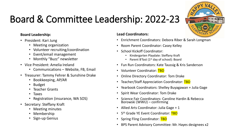

## Board & Committee Leadership: 2022-23

#### **Board Leadership:**

- President: Kari Jung
	- Meeting organization
	- Volunteer recruiting/coordination
	- Event/email management
	- Monthly "Buzz" newsletter
- Vice President: Amelia Ireland
	- Communications Website, FB, Email
- Treasurer: Tammy Fehrer & Sunshine Drake
	- Bookkeeping, AP/AR
	- Budget
	- Teacher Grants
	- Taxes
	- Registration (insurance, WA SOS)
- Secretary: Steffany Kraft
	- Meeting minutes
	- Membership
	- Sign-up Genius

#### **Lead Coordinators:**

- Enrichment Coordinators: Debora Riber & Sarah Longman
- Room Parent Coordinator: Casey Kelley
- School Kickoff Coordinator:
	- Kindergarten Playdate: Steffany Kraft
	- Parent B'fast ( $1<sup>st</sup>$  day of school): Board
- Fun Run Coordinators: Kate Taussig & Kris Sanderson
- Volunteer Coordinator: TBD
- Online Directory Coordinator: Tom Drake
- Teacher/Staff Appreciation Coordinator: TBD
- Yearbook Coordinators: Shelley Buyagawan + Julia Gage
- Spirit Wear Coordinator: Tom Drake
- Science Fair Coordinators: Caroline Hardin & Rebecca Borowski (WWU) – confirming
- Allied Arts Coordinator: Julia Gage + 1
- 5<sup>th</sup> Grade YE Event Coordinator: TBD
- Spring Fling Coordinator: TBD
- BPS Parent Advisory Committee: Mr. Hayes designees x2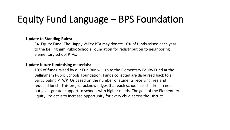### Equity Fund Language – BPS Foundation

#### **Update to Standing Rules:**

34. Equity Fund: The Happy Valley PTA may donate 10% of funds raised each year to the Bellingham Public Schools Foundation for redistribution to neighboring elementary school PTAs.

#### **Update future fundraising materials:**

10% of funds raised by our Fun Run will go to the Elementary Equity Fund at the Bellingham Public Schools Foundation. Funds collected are disbursed back to all participating PTA/PTOs based on the number of students receiving free and reduced lunch. This project acknowledges that each school has children in need but gives greater support to schools with higher needs. The goal of the Elementary Equity Project is to increase opportunity for every child across the District.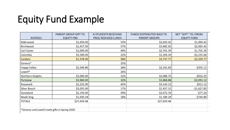### Equity Fund Example

| <b>SCHOOLS</b>                               | PARENT GROUP GIFT TO<br><b>EQUITY FND</b> | % STUDENTS RECEIVING<br>FREE/ REDUCED LUNCH | <b>FUNDS DISTRIBUTED BACK TO</b><br><b>PARENT GROUPS</b> | NET "GIFT" TO / FROM<br><b>EQUITY FUND</b> |
|----------------------------------------------|-------------------------------------------|---------------------------------------------|----------------------------------------------------------|--------------------------------------------|
| Alderwood                                    | \$1,650.00                                | 53%                                         | \$2,650.42                                               | \$1,000.42                                 |
| Birchwood                                    | \$1,417.50                                | 57%                                         | \$3,482.92                                               | \$2,065.42                                 |
| Carl Cozier                                  | \$1,000.00                                | 49%                                         | \$2,701.39                                               | \$1,701.39                                 |
| Columbia                                     | \$3,340.00                                | 22%                                         | \$1,104.34                                               | $-52,235.66$                               |
| Cordata                                      | \$1,378.00                                | 58%                                         | \$3,737.77                                               | \$2,359.77                                 |
| Geneva*                                      |                                           | 25%                                         |                                                          |                                            |
| <b>Happy Valley</b>                          | \$2,546.80                                | 28%                                         | \$2,191.69                                               | $-5355.11$                                 |
| Lowell*                                      |                                           | 26%                                         |                                                          |                                            |
| Northern Heights                             | \$3,000.00                                | 31%                                         | \$2,089.75                                               | $-$910.25$                                 |
| Parkview                                     | \$3,960.00                                | 32%                                         | \$1,868.88                                               | $-52,091.12$                               |
| Roosevelt                                    | \$2,232.00                                | 45%                                         | \$3,143.12                                               | \$911.12                                   |
| Silver Beach                                 | \$3,055.00                                | 17%                                         | \$1,427.15                                               | $-$1,627.85$                               |
| Sunnyland                                    | \$2,150.00                                | 39%                                         | \$2,072.76                                               | $-$77.24$                                  |
| Wade King                                    | \$1,930.18                                | 18%                                         | \$1,189.29                                               | $-$740.89$                                 |
| <b>TOTALS</b>                                | \$27,659.48                               |                                             | \$27,659.48                                              |                                            |
| *Geneva and Lowell made gifts in Spring 2020 |                                           |                                             |                                                          |                                            |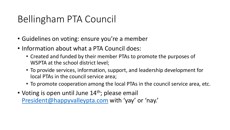### Bellingham PTA Council

- Guidelines on voting: ensure you're a member
- Information about what a PTA Council does:
	- Created and funded by their member PTAs to promote the purposes of WSPTA at the school district level;
	- To provide services, information, support, and leadership development for local PTAs in the council service area;
	- To promote cooperation among the local PTAs in the council service area, etc.
- Voting is open until June  $14<sup>th</sup>$ ; please email [President@happyvalleypta.com](mailto:President@happyvalleypta.com) with 'yay' or 'nay.'